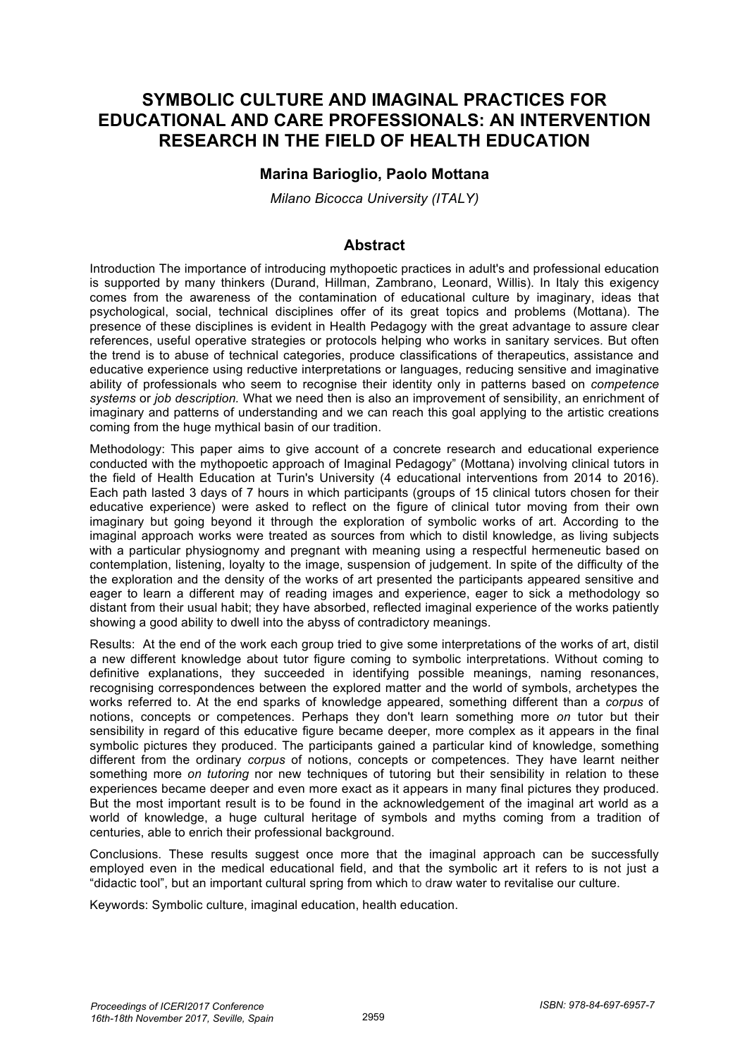# **SYMBOLIC CULTURE AND IMAGINAL PRACTICES FOR EDUCATIONAL AND CARE PROFESSIONALS: AN INTERVENTION RESEARCH IN THE FIELD OF HEALTH EDUCATION**

### **Marina Barioglio, Paolo Mottana**

*Milano Bicocca University (ITALY)*

#### **Abstract**

Introduction The importance of introducing mythopoetic practices in adult's and professional education is supported by many thinkers (Durand, Hillman, Zambrano, Leonard, Willis). In Italy this exigency comes from the awareness of the contamination of educational culture by imaginary, ideas that psychological, social, technical disciplines offer of its great topics and problems (Mottana). The presence of these disciplines is evident in Health Pedagogy with the great advantage to assure clear references, useful operative strategies or protocols helping who works in sanitary services. But often the trend is to abuse of technical categories, produce classifications of therapeutics, assistance and educative experience using reductive interpretations or languages, reducing sensitive and imaginative ability of professionals who seem to recognise their identity only in patterns based on *competence systems* or *job description.* What we need then is also an improvement of sensibility, an enrichment of imaginary and patterns of understanding and we can reach this goal applying to the artistic creations coming from the huge mythical basin of our tradition.

Methodology: This paper aims to give account of a concrete research and educational experience conducted with the mythopoetic approach of Imaginal Pedagogy" (Mottana) involving clinical tutors in the field of Health Education at Turin's University (4 educational interventions from 2014 to 2016). Each path lasted 3 days of 7 hours in which participants (groups of 15 clinical tutors chosen for their educative experience) were asked to reflect on the figure of clinical tutor moving from their own imaginary but going beyond it through the exploration of symbolic works of art. According to the imaginal approach works were treated as sources from which to distil knowledge, as living subjects with a particular physiognomy and pregnant with meaning using a respectful hermeneutic based on contemplation, listening, loyalty to the image, suspension of judgement. In spite of the difficulty of the the exploration and the density of the works of art presented the participants appeared sensitive and eager to learn a different may of reading images and experience, eager to sick a methodology so distant from their usual habit; they have absorbed, reflected imaginal experience of the works patiently showing a good ability to dwell into the abyss of contradictory meanings.

Results: At the end of the work each group tried to give some interpretations of the works of art, distil a new different knowledge about tutor figure coming to symbolic interpretations. Without coming to definitive explanations, they succeeded in identifying possible meanings, naming resonances, recognising correspondences between the explored matter and the world of symbols, archetypes the works referred to. At the end sparks of knowledge appeared, something different than a *corpus* of notions, concepts or competences. Perhaps they don't learn something more *on* tutor but their sensibility in regard of this educative figure became deeper, more complex as it appears in the final symbolic pictures they produced. The participants gained a particular kind of knowledge, something different from the ordinary *corpus* of notions, concepts or competences. They have learnt neither something more *on tutoring* nor new techniques of tutoring but their sensibility in relation to these experiences became deeper and even more exact as it appears in many final pictures they produced. But the most important result is to be found in the acknowledgement of the imaginal art world as a world of knowledge, a huge cultural heritage of symbols and myths coming from a tradition of centuries, able to enrich their professional background.

Conclusions. These results suggest once more that the imaginal approach can be successfully employed even in the medical educational field, and that the symbolic art it refers to is not just a "didactic tool", but an important cultural spring from which to draw water to revitalise our culture.

Keywords: Symbolic culture, imaginal education, health education.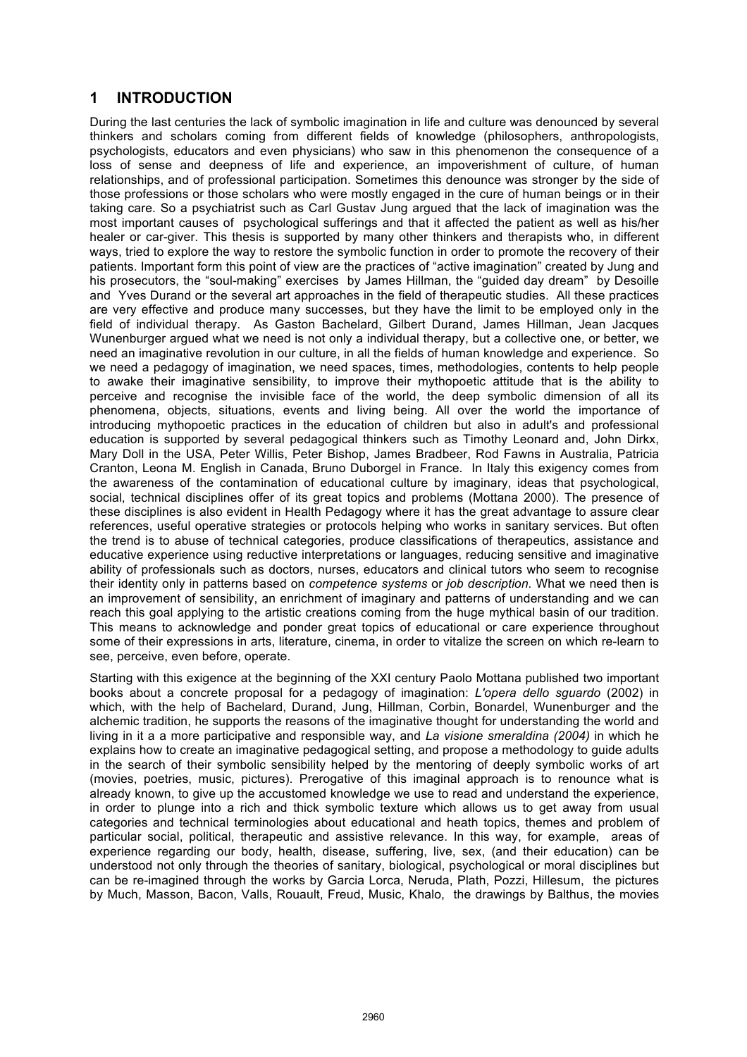### **1 INTRODUCTION**

During the last centuries the lack of symbolic imagination in life and culture was denounced by several thinkers and scholars coming from different fields of knowledge (philosophers, anthropologists, psychologists, educators and even physicians) who saw in this phenomenon the consequence of a loss of sense and deepness of life and experience, an impoverishment of culture, of human relationships, and of professional participation. Sometimes this denounce was stronger by the side of those professions or those scholars who were mostly engaged in the cure of human beings or in their taking care. So a psychiatrist such as Carl Gustav Jung argued that the lack of imagination was the most important causes of psychological sufferings and that it affected the patient as well as his/her healer or car-giver. This thesis is supported by many other thinkers and therapists who, in different ways, tried to explore the way to restore the symbolic function in order to promote the recovery of their patients. Important form this point of view are the practices of "active imagination" created by Jung and his prosecutors, the "soul-making" exercises by James Hillman, the "guided day dream" by Desoille and Yves Durand or the several art approaches in the field of therapeutic studies. All these practices are very effective and produce many successes, but they have the limit to be employed only in the field of individual therapy. As Gaston Bachelard, Gilbert Durand, James Hillman, Jean Jacques Wunenburger argued what we need is not only a individual therapy, but a collective one, or better, we need an imaginative revolution in our culture, in all the fields of human knowledge and experience. So we need a pedagogy of imagination, we need spaces, times, methodologies, contents to help people to awake their imaginative sensibility, to improve their mythopoetic attitude that is the ability to perceive and recognise the invisible face of the world, the deep symbolic dimension of all its phenomena, objects, situations, events and living being. All over the world the importance of introducing mythopoetic practices in the education of children but also in adult's and professional education is supported by several pedagogical thinkers such as Timothy Leonard and, John Dirkx, Mary Doll in the USA, Peter Willis, Peter Bishop, James Bradbeer, Rod Fawns in Australia, Patricia Cranton, Leona M. English in Canada, Bruno Duborgel in France. In Italy this exigency comes from the awareness of the contamination of educational culture by imaginary, ideas that psychological, social, technical disciplines offer of its great topics and problems (Mottana 2000). The presence of these disciplines is also evident in Health Pedagogy where it has the great advantage to assure clear references, useful operative strategies or protocols helping who works in sanitary services. But often the trend is to abuse of technical categories, produce classifications of therapeutics, assistance and educative experience using reductive interpretations or languages, reducing sensitive and imaginative ability of professionals such as doctors, nurses, educators and clinical tutors who seem to recognise their identity only in patterns based on *competence systems* or *job description.* What we need then is an improvement of sensibility, an enrichment of imaginary and patterns of understanding and we can reach this goal applying to the artistic creations coming from the huge mythical basin of our tradition. This means to acknowledge and ponder great topics of educational or care experience throughout some of their expressions in arts, literature, cinema, in order to vitalize the screen on which re-learn to see, perceive, even before, operate.

Starting with this exigence at the beginning of the XXI century Paolo Mottana published two important books about a concrete proposal for a pedagogy of imagination: *L'opera dello sguardo* (2002) in which, with the help of Bachelard, Durand, Jung, Hillman, Corbin, Bonardel, Wunenburger and the alchemic tradition, he supports the reasons of the imaginative thought for understanding the world and living in it a a more participative and responsible way, and *La visione smeraldina (2004)* in which he explains how to create an imaginative pedagogical setting, and propose a methodology to guide adults in the search of their symbolic sensibility helped by the mentoring of deeply symbolic works of art (movies, poetries, music, pictures). Prerogative of this imaginal approach is to renounce what is already known, to give up the accustomed knowledge we use to read and understand the experience, in order to plunge into a rich and thick symbolic texture which allows us to get away from usual categories and technical terminologies about educational and heath topics, themes and problem of particular social, political, therapeutic and assistive relevance. In this way, for example, areas of experience regarding our body, health, disease, suffering, live, sex, (and their education) can be understood not only through the theories of sanitary, biological, psychological or moral disciplines but can be re-imagined through the works by Garcia Lorca, Neruda, Plath, Pozzi, Hillesum, the pictures by Much, Masson, Bacon, Valls, Rouault, Freud, Music, Khalo, the drawings by Balthus, the movies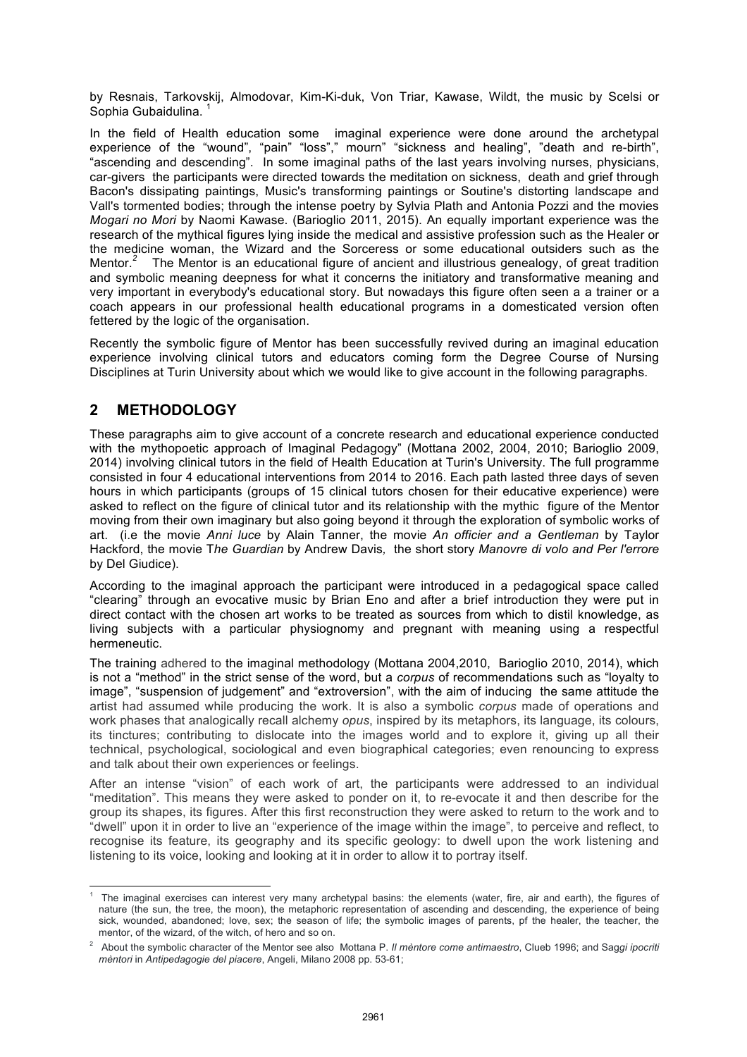by Resnais, Tarkovskij, Almodovar, Kim-Ki-duk, Von Triar, Kawase, Wildt, the music by Scelsi or Sophia Gubaidulina. <sup>1</sup>

In the field of Health education some imaginal experience were done around the archetypal experience of the "wound", "pain" "loss"," mourn" "sickness and healing", "death and re-birth", "ascending and descending". In some imaginal paths of the last years involving nurses, physicians, car-givers the participants were directed towards the meditation on sickness, death and grief through Bacon's dissipating paintings, Music's transforming paintings or Soutine's distorting landscape and Vall's tormented bodies; through the intense poetry by Sylvia Plath and Antonia Pozzi and the movies *Mogari no Mori* by Naomi Kawase. (Barioglio 2011, 2015). An equally important experience was the research of the mythical figures lying inside the medical and assistive profession such as the Healer or the medicine woman, the Wizard and the Sorceress or some educational outsiders such as the Mentor.<sup>2</sup> The Mentor is an educational figure of ancient and illustrious genealogy, of great tradition and symbolic meaning deepness for what it concerns the initiatory and transformative meaning and very important in everybody's educational story. But nowadays this figure often seen a a trainer or a coach appears in our professional health educational programs in a domesticated version often fettered by the logic of the organisation.

Recently the symbolic figure of Mentor has been successfully revived during an imaginal education experience involving clinical tutors and educators coming form the Degree Course of Nursing Disciplines at Turin University about which we would like to give account in the following paragraphs.

## **2 METHODOLOGY**

These paragraphs aim to give account of a concrete research and educational experience conducted with the mythopoetic approach of Imaginal Pedagogy" (Mottana 2002, 2004, 2010; Barioglio 2009, 2014) involving clinical tutors in the field of Health Education at Turin's University. The full programme consisted in four 4 educational interventions from 2014 to 2016. Each path lasted three days of seven hours in which participants (groups of 15 clinical tutors chosen for their educative experience) were asked to reflect on the figure of clinical tutor and its relationship with the mythic figure of the Mentor moving from their own imaginary but also going beyond it through the exploration of symbolic works of art. (i.e the movie *Anni luce* by Alain Tanner, the movie *An officier and a Gentleman* by Taylor Hackford, the movie T*he Guardian* by Andrew Davis*,* the short story *Manovre di volo and Per l'errore*  by Del Giudice).

According to the imaginal approach the participant were introduced in a pedagogical space called "clearing" through an evocative music by Brian Eno and after a brief introduction they were put in direct contact with the chosen art works to be treated as sources from which to distil knowledge, as living subjects with a particular physiognomy and pregnant with meaning using a respectful hermeneutic.

The training adhered to the imaginal methodology (Mottana 2004,2010, Barioglio 2010, 2014), which is not a "method" in the strict sense of the word, but a *corpus* of recommendations such as "loyalty to image", "suspension of judgement" and "extroversion", with the aim of inducing the same attitude the artist had assumed while producing the work. It is also a symbolic *corpus* made of operations and work phases that analogically recall alchemy *opus*, inspired by its metaphors, its language, its colours, its tinctures; contributing to dislocate into the images world and to explore it, giving up all their technical, psychological, sociological and even biographical categories; even renouncing to express and talk about their own experiences or feelings.

After an intense "vision" of each work of art, the participants were addressed to an individual "meditation". This means they were asked to ponder on it, to re-evocate it and then describe for the group its shapes, its figures. After this first reconstruction they were asked to return to the work and to "dwell" upon it in order to live an "experience of the image within the image", to perceive and reflect, to recognise its feature, its geography and its specific geology: to dwell upon the work listening and listening to its voice, looking and looking at it in order to allow it to portray itself.

 1 The imaginal exercises can interest very many archetypal basins: the elements (water, fire, air and earth), the figures of nature (the sun, the tree, the moon), the metaphoric representation of ascending and descending, the experience of being sick, wounded, abandoned; love, sex; the season of life; the symbolic images of parents, pf the healer, the teacher, the mentor, of the wizard, of the witch, of hero and so on.

<sup>2</sup> About the symbolic character of the Mentor see also Mottana P. *Il mèntore come antimaestro*, Clueb 1996; and Sag*gi ipocriti mèntori* in *Antipedagogie del piacere*, Angeli, Milano 2008 pp. 53-61;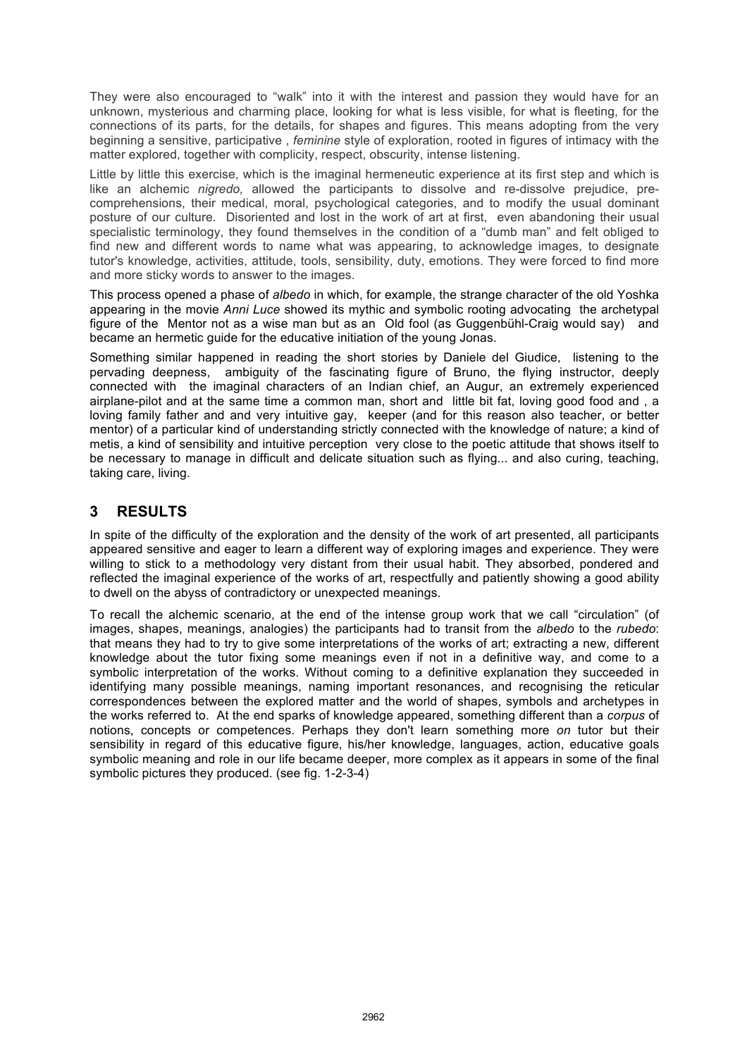They were also encouraged to "walk" into it with the interest and passion they would have for an unknown, mysterious and charming place, looking for what is less visible, for what is fleeting, for the connections of its parts, for the details, for shapes and figures. This means adopting from the very beginning a sensitive, participative , *feminine* style of exploration, rooted in figures of intimacy with the matter explored, together with complicity, respect, obscurity, intense listening.

Little by little this exercise, which is the imaginal hermeneutic experience at its first step and which is like an alchemic *nigredo,* allowed the participants to dissolve and re-dissolve prejudice, precomprehensions, their medical, moral, psychological categories, and to modify the usual dominant posture of our culture. Disoriented and lost in the work of art at first, even abandoning their usual specialistic terminology, they found themselves in the condition of a "dumb man" and felt obliged to find new and different words to name what was appearing, to acknowledge images, to designate tutor's knowledge, activities, attitude, tools, sensibility, duty, emotions. They were forced to find more and more sticky words to answer to the images.

This process opened a phase of *albedo* in which, for example, the strange character of the old Yoshka appearing in the movie *Anni Luce* showed its mythic and symbolic rooting advocating the archetypal figure of the Mentor not as a wise man but as an Old fool (as Guggenbühl-Craig would say) and became an hermetic guide for the educative initiation of the young Jonas.

Something similar happened in reading the short stories by Daniele del Giudice, listening to the pervading deepness, ambiguity of the fascinating figure of Bruno, the flying instructor, deeply connected with the imaginal characters of an Indian chief, an Augur, an extremely experienced airplane-pilot and at the same time a common man, short and little bit fat, loving good food and , a loving family father and and very intuitive gay, keeper (and for this reason also teacher, or better mentor) of a particular kind of understanding strictly connected with the knowledge of nature; a kind of metis, a kind of sensibility and intuitive perception very close to the poetic attitude that shows itself to be necessary to manage in difficult and delicate situation such as flying... and also curing, teaching, taking care, living.

### **3 RESULTS**

In spite of the difficulty of the exploration and the density of the work of art presented, all participants appeared sensitive and eager to learn a different way of exploring images and experience. They were willing to stick to a methodology very distant from their usual habit. They absorbed, pondered and reflected the imaginal experience of the works of art, respectfully and patiently showing a good ability to dwell on the abyss of contradictory or unexpected meanings.

To recall the alchemic scenario, at the end of the intense group work that we call "circulation" (of images, shapes, meanings, analogies) the participants had to transit from the *albedo* to the *rubedo*: that means they had to try to give some interpretations of the works of art; extracting a new, different knowledge about the tutor fixing some meanings even if not in a definitive way, and come to a symbolic interpretation of the works. Without coming to a definitive explanation they succeeded in identifying many possible meanings, naming important resonances, and recognising the reticular correspondences between the explored matter and the world of shapes, symbols and archetypes in the works referred to. At the end sparks of knowledge appeared, something different than a *corpus* of notions, concepts or competences. Perhaps they don't learn something more *on* tutor but their sensibility in regard of this educative figure, his/her knowledge, languages, action, educative goals symbolic meaning and role in our life became deeper, more complex as it appears in some of the final symbolic pictures they produced. (see fig. 1-2-3-4)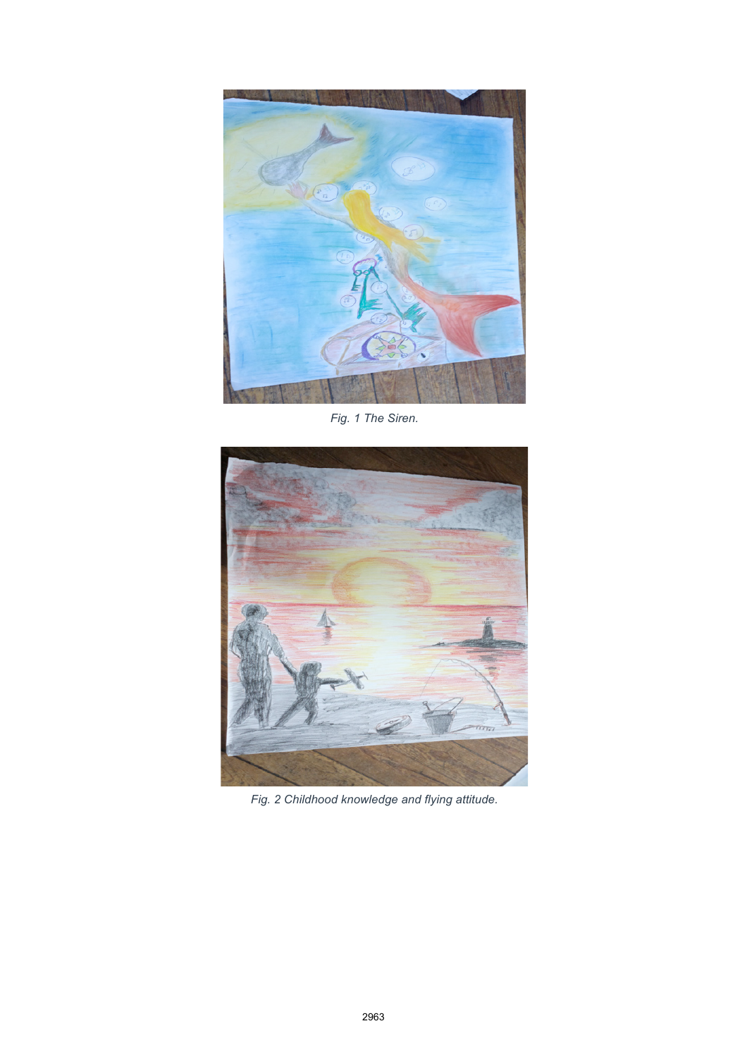

*Fig. 1 The Siren.*



*Fig. 2 Childhood knowledge and flying attitude.*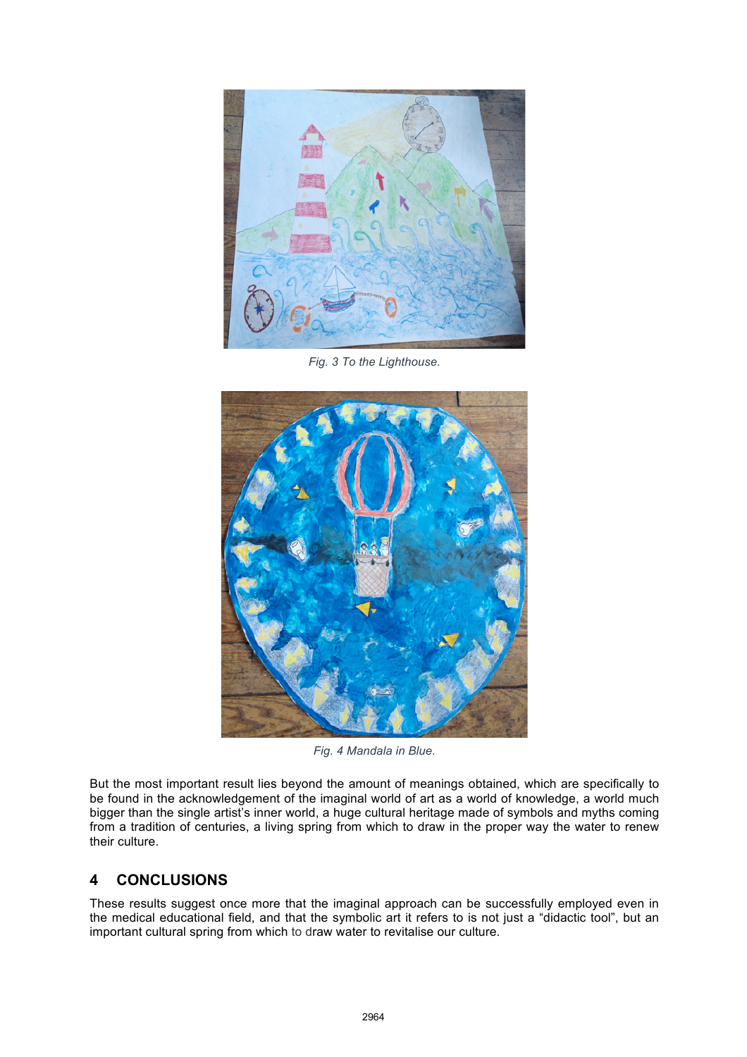

*Fig. 3 To the Lighthouse.* 



*Fig. 4 Mandala in Blue.* 

But the most important result lies beyond the amount of meanings obtained, which are specifically to be found in the acknowledgement of the imaginal world of art as a world of knowledge, a world much bigger than the single artist's inner world, a huge cultural heritage made of symbols and myths coming from a tradition of centuries, a living spring from which to draw in the proper way the water to renew their culture.

# **4 CONCLUSIONS**

These results suggest once more that the imaginal approach can be successfully employed even in the medical educational field, and that the symbolic art it refers to is not just a "didactic tool", but an important cultural spring from which to draw water to revitalise our culture.